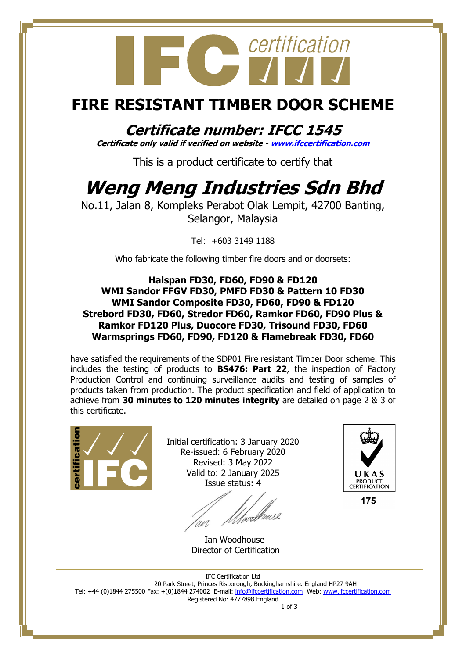# certification  $\bullet$

### **FIRE RESISTANT TIMBER DOOR SCHEME**

**Certificate number: IFCC 1545 Certificate only valid if verified on website - [www.ifccertification.com](http://www.ifccertification.com/)**

This is a product certificate to certify that

## **Weng Meng Industries Sdn Bhd**

No.11, Jalan 8, Kompleks Perabot Olak Lempit, 42700 Banting, Selangor, Malaysia

Tel: +603 3149 1188

Who fabricate the following timber fire doors and or doorsets:

#### **Halspan FD30, FD60, FD90 & FD120 WMI Sandor FFGV FD30, PMFD FD30 & Pattern 10 FD30 WMI Sandor Composite FD30, FD60, FD90 & FD120 Strebord FD30, FD60, Stredor FD60, Ramkor FD60, FD90 Plus & Ramkor FD120 Plus, Duocore FD30, Trisound FD30, FD60 Warmsprings FD60, FD90, FD120 & Flamebreak FD30, FD60**

have satisfied the requirements of the SDP01 Fire resistant Timber Door scheme. This includes the testing of products to **BS476: Part 22**, the inspection of Factory Production Control and continuing surveillance audits and testing of samples of products taken from production. The product specification and field of application to achieve from **30 minutes to 120 minutes integrity** are detailed on page 2 & 3 of this certificate.



Initial certification: 3 January 2020 Re-issued: 6 February 2020 Revised: 3 May 2022 Valid to: 2 January 2025 Issue status: 4

/webleus2

 Ian Woodhouse Director of Certification



175

IFC Certification Ltd 20 Park Street, Princes Risborough, Buckinghamshire. England HP27 9AH Tel: +44 (0)1844 275500 Fax: +(0)1844 274002 E-mail[: info@ifccertification.com](mailto:info@ifccertification.com) Web: [www.ifccertification.com](http://www.ifccertification.com/) Registered No: 4777898 England 1 of 3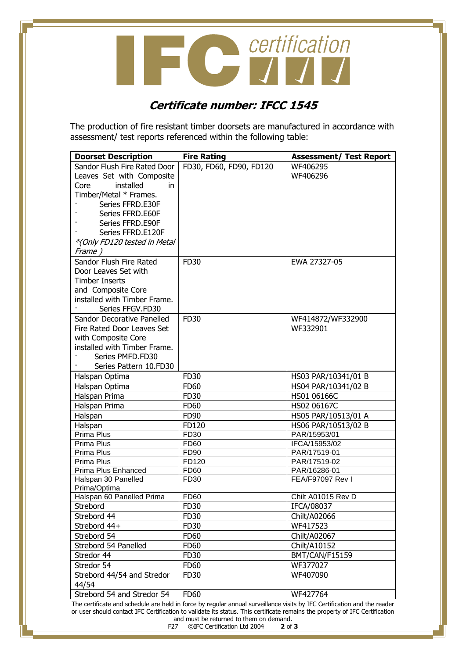**CONTRACTE CONTRACTES** 

#### **Certificate number: IFCC 1545**

The production of fire resistant timber doorsets are manufactured in accordance with assessment/ test reports referenced within the following table:

| <b>Doorset Description</b>          | <b>Fire Rating</b>      | <b>Assessment/ Test Report</b> |
|-------------------------------------|-------------------------|--------------------------------|
| Sandor Flush Fire Rated Door        | FD30, FD60, FD90, FD120 | WF406295                       |
| Leaves Set with Composite           |                         | WF406296                       |
| installed<br>Core<br>in             |                         |                                |
| Timber/Metal * Frames.              |                         |                                |
| Series FFRD.E30F                    |                         |                                |
| Series FFRD.E60F                    |                         |                                |
| Series FFRD.E90F                    |                         |                                |
| Series FFRD.E120F                   |                         |                                |
| *(Only FD120 tested in Metal        |                         |                                |
| Frame)                              |                         |                                |
| Sandor Flush Fire Rated             | FD30                    | EWA 27327-05                   |
| Door Leaves Set with                |                         |                                |
| <b>Timber Inserts</b>               |                         |                                |
| and Composite Core                  |                         |                                |
| installed with Timber Frame.        |                         |                                |
| Series FFGV.FD30                    |                         |                                |
| Sandor Decorative Panelled          | FD30                    | WF414872/WF332900              |
| Fire Rated Door Leaves Set          |                         | WF332901                       |
| with Composite Core                 |                         |                                |
| installed with Timber Frame.        |                         |                                |
| Series PMFD.FD30                    |                         |                                |
| Series Pattern 10.FD30              |                         |                                |
| Halspan Optima                      | FD30                    | HS03 PAR/10341/01 B            |
| Halspan Optima                      | <b>FD60</b>             | HS04 PAR/10341/02 B            |
| Halspan Prima                       | FD30                    | HS01 06166C                    |
| Halspan Prima                       | <b>FD60</b>             | HS02 06167C                    |
| Halspan                             | FD90                    | HS05 PAR/10513/01 A            |
| Halspan                             | FD120                   | HS06 PAR/10513/02 B            |
| Prima Plus                          | FD30                    | PAR/15953/01                   |
| Prima Plus                          | FD60                    | IFCA/15953/02                  |
| Prima Plus                          | FD90                    | PAR/17519-01                   |
| Prima Plus                          | FD120                   | PAR/17519-02                   |
| Prima Plus Enhanced                 | <b>FD60</b>             | PAR/16286-01                   |
| Halspan 30 Panelled                 | FD30                    | FEA/F97097 Rev I               |
| Prima/Optima                        |                         |                                |
| Halspan 60 Panelled Prima           | <b>FD60</b>             | Chilt A01015 Rev D             |
| Strebord                            | FD30                    | IFCA/08037                     |
| Strebord 44                         | FD30                    | Chilt/A02066                   |
| Strebord 44+                        | FD30                    | WF417523                       |
| Strebord 54                         | FD60                    | Chilt/A02067                   |
| Strebord 54 Panelled                | <b>FD60</b>             | Chilt/A10152                   |
| Stredor 44                          | FD30                    | BMT/CAN/F15159                 |
| Stredor 54                          | <b>FD60</b>             | WF377027                       |
| Strebord 44/54 and Stredor<br>44/54 | FD30                    | WF407090                       |
| Strebord 54 and Stredor 54          | <b>FD60</b>             | WF427764                       |

The certificate and schedule are held in force by regular annual surveillance visits by IFC Certification and the reader or user should contact IFC Certification to validate its status. This certificate remains the property of IFC Certification and must be returned to them on demand.<br>27 ©IFC Certification Ltd 2004 2 of 3

F27 ©IFC Certification Ltd 2004